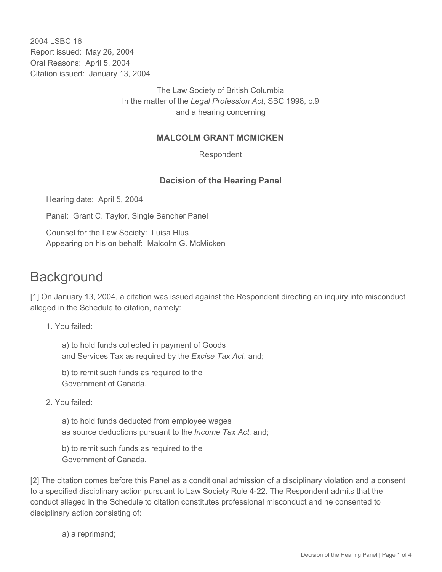2004 LSBC 16 Report issued: May 26, 2004 Oral Reasons: April 5, 2004 Citation issued: January 13, 2004

> The Law Society of British Columbia In the matter of the *Legal Profession Act*, SBC 1998, c.9 and a hearing concerning

## **MALCOLM GRANT MCMICKEN**

Respondent

## **Decision of the Hearing Panel**

Hearing date: April 5, 2004

Panel: Grant C. Taylor, Single Bencher Panel

Counsel for the Law Society: Luisa Hlus Appearing on his on behalf: Malcolm G. McMicken

## **Background**

[1] On January 13, 2004, a citation was issued against the Respondent directing an inquiry into misconduct alleged in the Schedule to citation, namely:

1. You failed:

a) to hold funds collected in payment of Goods and Services Tax as required by the *Excise Tax Act*, and;

b) to remit such funds as required to the Government of Canada.

2. You failed:

a) to hold funds deducted from employee wages as source deductions pursuant to the *Income Tax Act*, and;

b) to remit such funds as required to the Government of Canada.

[2] The citation comes before this Panel as a conditional admission of a disciplinary violation and a consent to a specified disciplinary action pursuant to Law Society Rule 4-22. The Respondent admits that the conduct alleged in the Schedule to citation constitutes professional misconduct and he consented to disciplinary action consisting of:

a) a reprimand;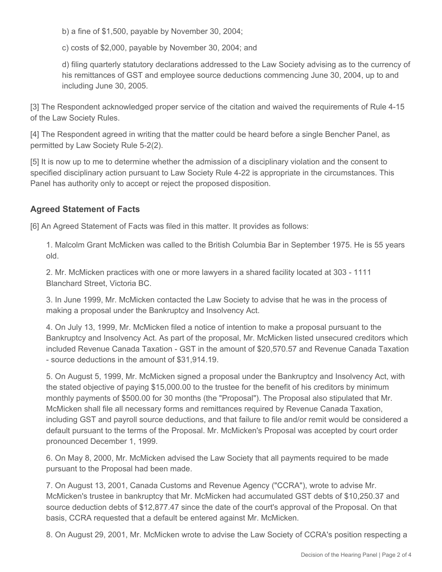b) a fine of \$1,500, payable by November 30, 2004;

c) costs of \$2,000, payable by November 30, 2004; and

d) filing quarterly statutory declarations addressed to the Law Society advising as to the currency of his remittances of GST and employee source deductions commencing June 30, 2004, up to and including June 30, 2005.

[3] The Respondent acknowledged proper service of the citation and waived the requirements of Rule 4-15 of the Law Society Rules.

[4] The Respondent agreed in writing that the matter could be heard before a single Bencher Panel, as permitted by Law Society Rule 5-2(2).

[5] It is now up to me to determine whether the admission of a disciplinary violation and the consent to specified disciplinary action pursuant to Law Society Rule 4-22 is appropriate in the circumstances. This Panel has authority only to accept or reject the proposed disposition.

## **Agreed Statement of Facts**

[6] An Agreed Statement of Facts was filed in this matter. It provides as follows:

1. Malcolm Grant McMicken was called to the British Columbia Bar in September 1975. He is 55 years old.

2. Mr. McMicken practices with one or more lawyers in a shared facility located at 303 - 1111 Blanchard Street, Victoria BC.

3. In June 1999, Mr. McMicken contacted the Law Society to advise that he was in the process of making a proposal under the Bankruptcy and Insolvency Act.

4. On July 13, 1999, Mr. McMicken filed a notice of intention to make a proposal pursuant to the Bankruptcy and Insolvency Act. As part of the proposal, Mr. McMicken listed unsecured creditors which included Revenue Canada Taxation - GST in the amount of \$20,570.57 and Revenue Canada Taxation - source deductions in the amount of \$31,914.19.

5. On August 5, 1999, Mr. McMicken signed a proposal under the Bankruptcy and Insolvency Act, with the stated objective of paying \$15,000.00 to the trustee for the benefit of his creditors by minimum monthly payments of \$500.00 for 30 months (the "Proposal"). The Proposal also stipulated that Mr. McMicken shall file all necessary forms and remittances required by Revenue Canada Taxation, including GST and payroll source deductions, and that failure to file and/or remit would be considered a default pursuant to the terms of the Proposal. Mr. McMicken's Proposal was accepted by court order pronounced December 1, 1999.

6. On May 8, 2000, Mr. McMicken advised the Law Society that all payments required to be made pursuant to the Proposal had been made.

7. On August 13, 2001, Canada Customs and Revenue Agency ("CCRA"), wrote to advise Mr. McMicken's trustee in bankruptcy that Mr. McMicken had accumulated GST debts of \$10,250.37 and source deduction debts of \$12,877.47 since the date of the court's approval of the Proposal. On that basis, CCRA requested that a default be entered against Mr. McMicken.

8. On August 29, 2001, Mr. McMicken wrote to advise the Law Society of CCRA's position respecting a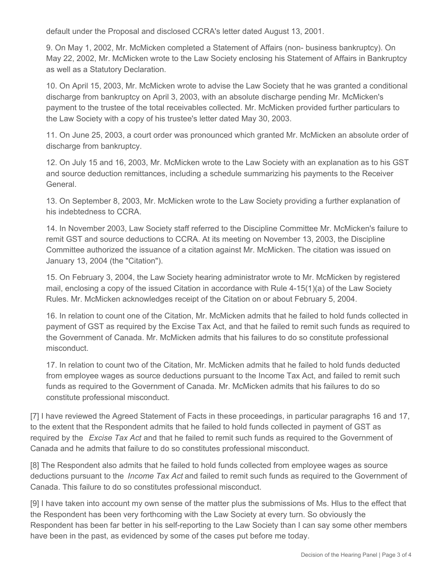default under the Proposal and disclosed CCRA's letter dated August 13, 2001.

9. On May 1, 2002, Mr. McMicken completed a Statement of Affairs (non- business bankruptcy). On May 22, 2002, Mr. McMicken wrote to the Law Society enclosing his Statement of Affairs in Bankruptcy as well as a Statutory Declaration.

10. On April 15, 2003, Mr. McMicken wrote to advise the Law Society that he was granted a conditional discharge from bankruptcy on April 3, 2003, with an absolute discharge pending Mr. McMicken's payment to the trustee of the total receivables collected. Mr. McMicken provided further particulars to the Law Society with a copy of his trustee's letter dated May 30, 2003.

11. On June 25, 2003, a court order was pronounced which granted Mr. McMicken an absolute order of discharge from bankruptcy.

12. On July 15 and 16, 2003, Mr. McMicken wrote to the Law Society with an explanation as to his GST and source deduction remittances, including a schedule summarizing his payments to the Receiver **General** 

13. On September 8, 2003, Mr. McMicken wrote to the Law Society providing a further explanation of his indebtedness to CCRA.

14. In November 2003, Law Society staff referred to the Discipline Committee Mr. McMicken's failure to remit GST and source deductions to CCRA. At its meeting on November 13, 2003, the Discipline Committee authorized the issuance of a citation against Mr. McMicken. The citation was issued on January 13, 2004 (the "Citation").

15. On February 3, 2004, the Law Society hearing administrator wrote to Mr. McMicken by registered mail, enclosing a copy of the issued Citation in accordance with Rule 4-15(1)(a) of the Law Society Rules. Mr. McMicken acknowledges receipt of the Citation on or about February 5, 2004.

16. In relation to count one of the Citation, Mr. McMicken admits that he failed to hold funds collected in payment of GST as required by the Excise Tax Act, and that he failed to remit such funds as required to the Government of Canada. Mr. McMicken admits that his failures to do so constitute professional misconduct.

17. In relation to count two of the Citation, Mr. McMicken admits that he failed to hold funds deducted from employee wages as source deductions pursuant to the Income Tax Act, and failed to remit such funds as required to the Government of Canada. Mr. McMicken admits that his failures to do so constitute professional misconduct.

[7] I have reviewed the Agreed Statement of Facts in these proceedings, in particular paragraphs 16 and 17, to the extent that the Respondent admits that he failed to hold funds collected in payment of GST as required by the *Excise Tax Act* and that he failed to remit such funds as required to the Government of Canada and he admits that failure to do so constitutes professional misconduct.

[8] The Respondent also admits that he failed to hold funds collected from employee wages as source deductions pursuant to the *Income Tax Act* and failed to remit such funds as required to the Government of Canada. This failure to do so constitutes professional misconduct.

[9] I have taken into account my own sense of the matter plus the submissions of Ms. Hlus to the effect that the Respondent has been very forthcoming with the Law Society at every turn. So obviously the Respondent has been far better in his self-reporting to the Law Society than I can say some other members have been in the past, as evidenced by some of the cases put before me today.